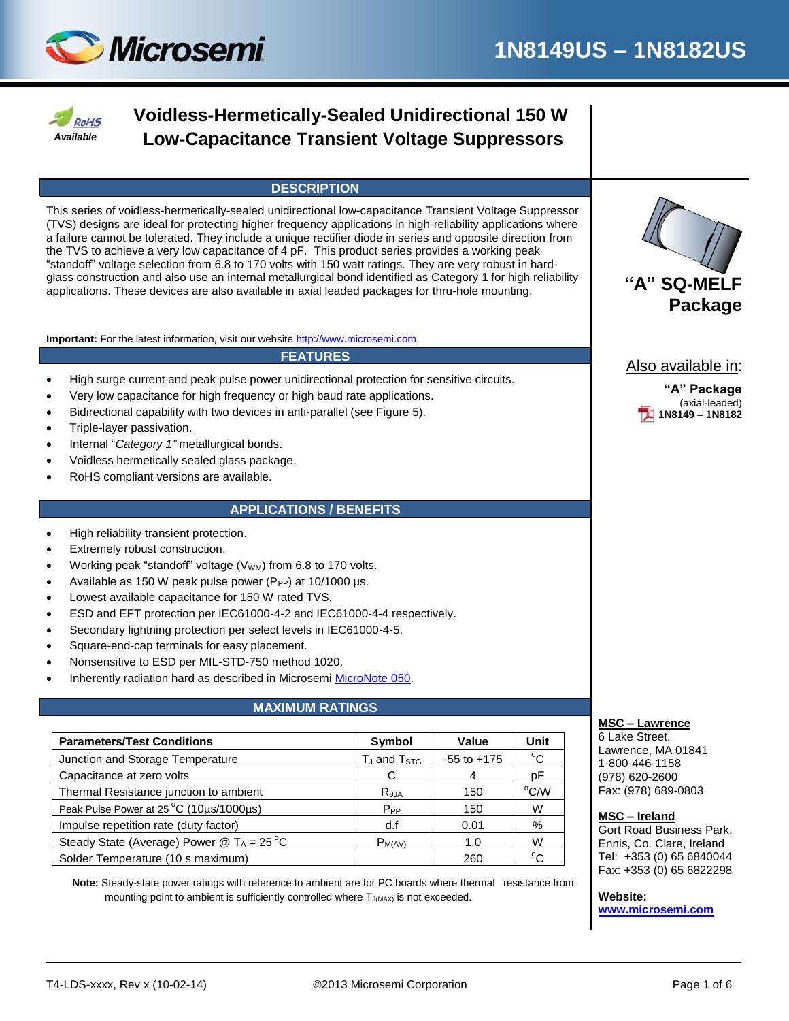



# **Voidless-Hermetically-Sealed Unidirectional 150 W Low-Capacitance Transient Voltage Suppressors**

### **DESCRIPTION**

This series of voidless-hermetically-sealed unidirectional low-capacitance Transient Voltage Suppressor (TVS) designs are ideal for protecting higher frequency applications in high-reliability applications where a failure cannot be tolerated. They include a unique rectifier diode in series and opposite direction from the TVS to achieve a very low capacitance of 4 pF. This product series provides a working peak "standoff" voltage selection from 6.8 to 170 volts with 150 watt ratings. They are very robust in hardglass construction and also use an internal metallurgical bond identified as Category 1 for high reliability glass construction and also use an internal metallurgical bond identified as Category 1 for high reliability **Tamack and Stander and Tamack A"** SQ-MELF applications. These devices are also available in axial leaded package

**Important:** For the latest information, visit our website [http://www.microsemi.com.](http://www.microsemi.com/)

#### **FEATURES**

- High surge current and peak pulse power unidirectional protection for sensitive circuits.
- Very low capacitance for high frequency or high baud rate applications.
- Bidirectional capability with two devices in anti-parallel (see Figure 5).
- Triple-layer passivation.
- Internal "*Category 1"* metallurgical bonds.
- Voidless hermetically sealed glass package.
- RoHS compliant versions are available.

#### **APPLICATIONS / BENEFITS**

- High reliability transient protection.
- Extremely robust construction.
- Working peak "standoff" voltage (V<sub>WM</sub>) from 6.8 to 170 volts.
- Available as 150 W peak pulse power ( $P_{PP}$ ) at 10/1000 µs.
- Lowest available capacitance for 150 W rated TVS.
- ESD and EFT protection per IEC61000-4-2 and IEC61000-4-4 respectively.
- Secondary lightning protection per select levels in IEC61000-4-5.
- Square-end-cap terminals for easy placement.
- Nonsensitive to ESD per MIL-STD-750 method 1020.
- Inherently radiation hard as described in Microsemi [MicroNote 050.](http://www.microsemi.com/en/sites/default/files/micnotes/050.pdf)

#### **MAXIMUM RATINGS**

| <b>Parameters/Test Conditions</b>                                     | Symbol                              | Value           | Unit         |  |
|-----------------------------------------------------------------------|-------------------------------------|-----------------|--------------|--|
| Junction and Storage Temperature                                      | T <sub>J</sub> and T <sub>STG</sub> | $-55$ to $+175$ | $^{\circ}$ C |  |
| Capacitance at zero volts                                             | С                                   |                 | рF           |  |
| Thermal Resistance junction to ambient                                | $R_{\theta$ JA                      | 150             | °C/W         |  |
| Peak Pulse Power at 25 °C (10µs/1000µs)                               | $P_{PP}$                            | 150             | W            |  |
| Impulse repetition rate (duty factor)                                 | d.f                                 | 0.01            | %            |  |
| Steady State (Average) Power $\textcircled{2}$ T <sub>A</sub> = 25 °C | $P_{M(AV)}$                         | 1.0             | W            |  |
| Solder Temperature (10 s maximum)                                     |                                     | 260             | $\sim$       |  |

 **Note:** Steady-state power ratings with reference to ambient are for PC boards where thermal resistance from mounting point to ambient is sufficiently controlled where  $T_{J(MAX)}$  is not exceeded.



Also available in:

**"A" Package** (axial-leaded) **1N8149 – 1N8182**

#### **MSC – Lawrence**

6 Lake Street, Lawrence, MA 01841 1-800-446-1158 (978) 620-2600 Fax: (978) 689-0803

#### **MSC – Ireland**

Gort Road Business Park, Ennis, Co. Clare, Ireland Tel: +353 (0) 65 6840044 Fax: +353 (0) 65 6822298 *Tel: +353 (0) 65 6840044 Fax: +353 (0) 65 6822298*

**Website: [www.microsemi.com](http://www.microsemi.com/)**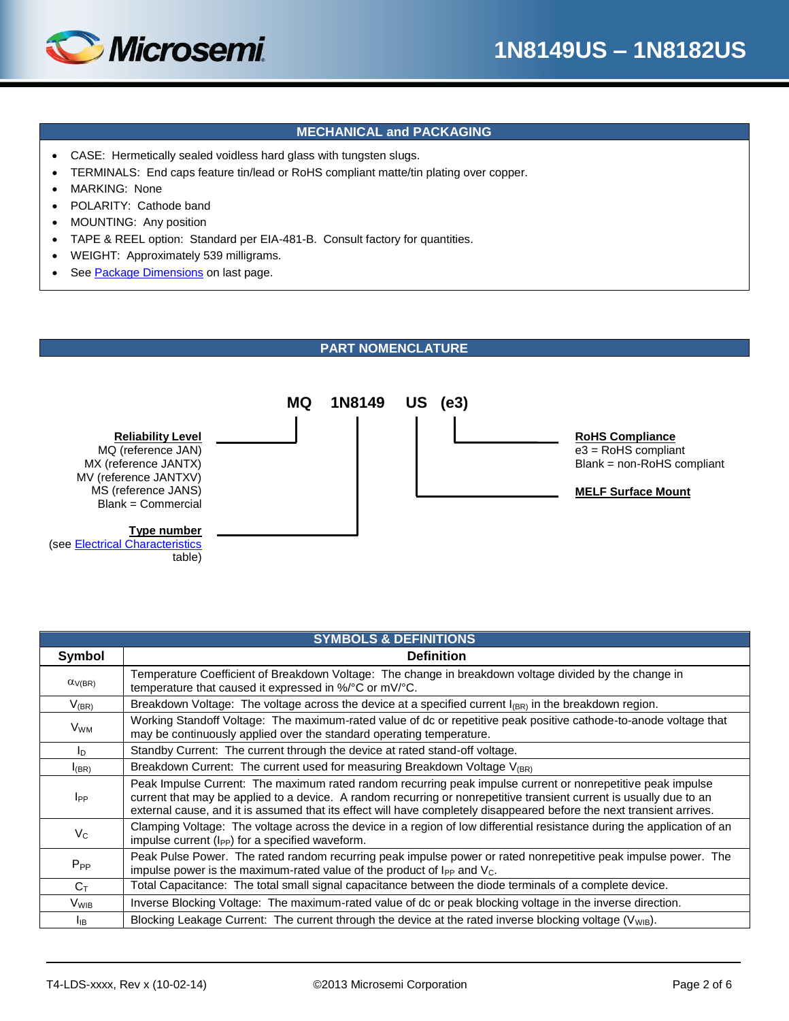

### **MECHANICAL and PACKAGING**

- CASE: Hermetically sealed voidless hard glass with tungsten slugs.
- TERMINALS: End caps feature tin/lead or RoHS compliant matte/tin plating over copper.
- MARKING: None
- POLARITY: Cathode band
- MOUNTING: Any position
- TAPE & REEL option: Standard per EIA-481-B. Consult factory for quantities.
- WEIGHT: Approximately 539 milligrams.
- See [Package Dimensions](file:///C:/Users/pwissel/AppData/Local/Microsoft/Windows/Temporary%20Internet%20Files/Content.Outlook/SIXAU4RF/1N8073US%20-%201N8109US%20Data%20Sheet%20(KW%201-24-13).doc%23PKG_DIMENSIONS) on last page.

#### **PART NOMENCLATURE**



| <b>SYMBOLS &amp; DEFINITIONS</b> |                                                                                                                                                                                                                                                                                                                                                             |  |  |  |  |  |  |
|----------------------------------|-------------------------------------------------------------------------------------------------------------------------------------------------------------------------------------------------------------------------------------------------------------------------------------------------------------------------------------------------------------|--|--|--|--|--|--|
| Symbol                           | <b>Definition</b>                                                                                                                                                                                                                                                                                                                                           |  |  |  |  |  |  |
| $\alpha$ <sub>V</sub> (BR)       | Temperature Coefficient of Breakdown Voltage: The change in breakdown voltage divided by the change in<br>temperature that caused it expressed in %/°C or mV/°C.                                                                                                                                                                                            |  |  |  |  |  |  |
| $V_{(BR)}$                       | Breakdown Voltage: The voltage across the device at a specified current $I_{(BR)}$ in the breakdown region.                                                                                                                                                                                                                                                 |  |  |  |  |  |  |
| <b>V</b> wм                      | Working Standoff Voltage: The maximum-rated value of dc or repetitive peak positive cathode-to-anode voltage that<br>may be continuously applied over the standard operating temperature.                                                                                                                                                                   |  |  |  |  |  |  |
| I <sub>D</sub>                   | Standby Current: The current through the device at rated stand-off voltage.                                                                                                                                                                                                                                                                                 |  |  |  |  |  |  |
| $I_{(BR)}$                       | Breakdown Current: The current used for measuring Breakdown Voltage V <sub>(BR)</sub>                                                                                                                                                                                                                                                                       |  |  |  |  |  |  |
| $_{\rm lpp}$                     | Peak Impulse Current: The maximum rated random recurring peak impulse current or nonrepetitive peak impulse<br>current that may be applied to a device. A random recurring or nonrepetitive transient current is usually due to an<br>external cause, and it is assumed that its effect will have completely disappeared before the next transient arrives. |  |  |  |  |  |  |
| $V_{C}$                          | Clamping Voltage: The voltage across the device in a region of low differential resistance during the application of an<br>impulse current $(I_{PP})$ for a specified waveform.                                                                                                                                                                             |  |  |  |  |  |  |
| $P_{PP}$                         | Peak Pulse Power. The rated random recurring peak impulse power or rated nonrepetitive peak impulse power. The<br>impulse power is the maximum-rated value of the product of $I_{PP}$ and $V_C$ .                                                                                                                                                           |  |  |  |  |  |  |
| $C_{\text{T}}$                   | Total Capacitance: The total small signal capacitance between the diode terminals of a complete device.                                                                                                                                                                                                                                                     |  |  |  |  |  |  |
| <b>V</b> <sub>WIB</sub>          | Inverse Blocking Voltage: The maximum-rated value of dc or peak blocking voltage in the inverse direction.                                                                                                                                                                                                                                                  |  |  |  |  |  |  |
| Iв                               | Blocking Leakage Current: The current through the device at the rated inverse blocking voltage (V <sub>WIB</sub> ).                                                                                                                                                                                                                                         |  |  |  |  |  |  |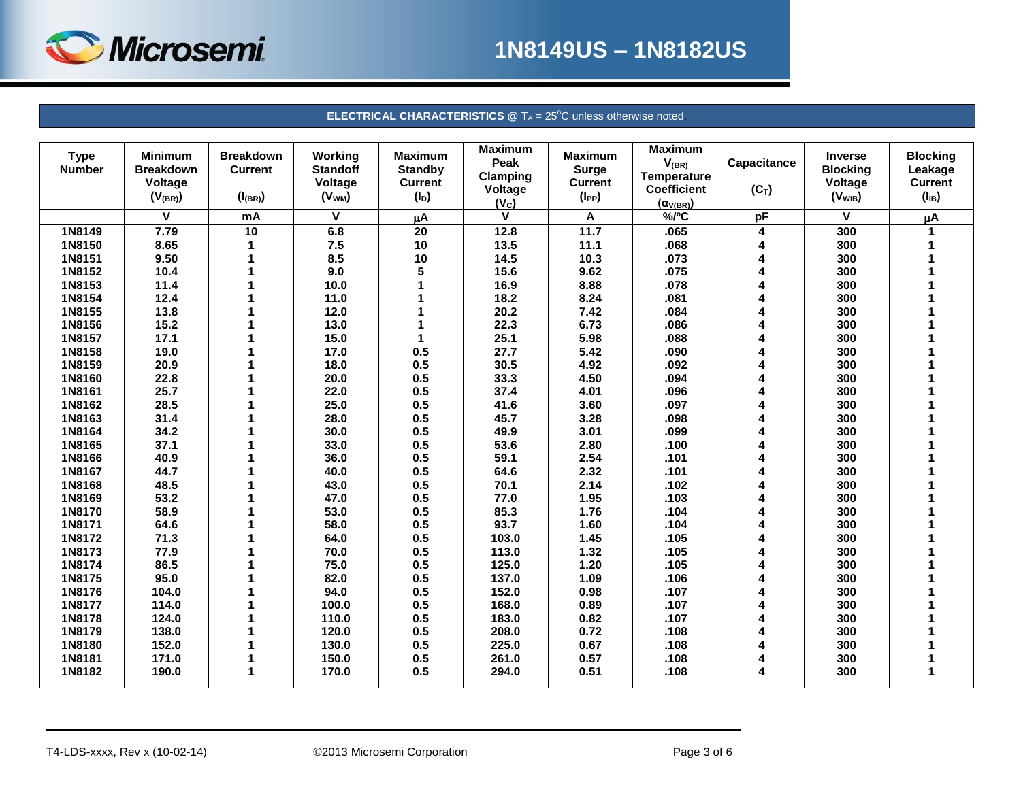

# **1N8149US – 1N8182US**

#### **ELECTRICAL CHARACTERISTICS** @ T<sub>A</sub> = 25°C unless otherwise noted.

| <b>Type</b><br><b>Number</b> | <b>Minimum</b><br><b>Breakdown</b><br>Voltage<br>$(V_{(BR)}$ | <b>Breakdown</b><br><b>Current</b><br>$(I_{(BR)})$ | <b>Working</b><br><b>Standoff</b><br>Voltage<br>(V <sub>WM</sub> ) | <b>Maximum</b><br><b>Standby</b><br><b>Current</b><br>$(I_D)$ | <b>Maximum</b><br>Peak<br>Clamping<br>Voltage | <b>Maximum</b><br>Surge<br><b>Current</b><br>$(I_{PP})$ | <b>Maximum</b><br>$V_{(BR)}$<br><b>Temperature</b><br><b>Coefficient</b> | Capacitance<br>$(C_T)$ | <b>Inverse</b><br><b>Blocking</b><br>Voltage<br>(V <sub>WIB</sub> ) | <b>Blocking</b><br>Leakage<br><b>Current</b><br>$(I_{IB})$ |
|------------------------------|--------------------------------------------------------------|----------------------------------------------------|--------------------------------------------------------------------|---------------------------------------------------------------|-----------------------------------------------|---------------------------------------------------------|--------------------------------------------------------------------------|------------------------|---------------------------------------------------------------------|------------------------------------------------------------|
|                              | V                                                            | mA                                                 | V                                                                  |                                                               | (V <sub>c</sub> )<br>V                        |                                                         | $(\alpha_{V(BR)})$<br>$%$ <sub>O</sub> C                                 | pF                     | V                                                                   |                                                            |
|                              |                                                              |                                                    |                                                                    | μA                                                            |                                               | Α<br>11.7                                               |                                                                          |                        |                                                                     | μA                                                         |
| 1N8149                       | 7.79                                                         | 10                                                 | 6.8                                                                | $\overline{20}$                                               | 12.8                                          |                                                         | .065                                                                     | 4                      | 300                                                                 | 1                                                          |
| 1N8150                       | 8.65                                                         | 1                                                  | 7.5                                                                | 10                                                            | 13.5                                          | 11.1                                                    | .068                                                                     | 4                      | 300                                                                 |                                                            |
| 1N8151                       | 9.50                                                         |                                                    | 8.5                                                                | 10                                                            | 14.5                                          | 10.3                                                    | .073                                                                     | 4                      | 300                                                                 |                                                            |
| 1N8152                       | 10.4                                                         |                                                    | 9.0                                                                | 5                                                             | 15.6                                          | 9.62                                                    | .075                                                                     | 4                      | 300                                                                 |                                                            |
| 1N8153                       | 11.4                                                         |                                                    | 10.0                                                               |                                                               | 16.9                                          | 8.88                                                    | .078                                                                     | 4                      | 300                                                                 |                                                            |
| 1N8154                       | 12.4                                                         |                                                    | 11.0                                                               |                                                               | 18.2                                          | 8.24                                                    | .081                                                                     | 4                      | 300                                                                 |                                                            |
| 1N8155                       | 13.8                                                         |                                                    | 12.0                                                               |                                                               | 20.2                                          | 7.42                                                    | .084                                                                     | 4                      | 300                                                                 |                                                            |
| 1N8156                       | 15.2                                                         |                                                    | 13.0                                                               |                                                               | 22.3                                          | 6.73                                                    | .086                                                                     | 4                      | 300                                                                 |                                                            |
| 1N8157                       | 17.1                                                         |                                                    | 15.0                                                               |                                                               | 25.1                                          | 5.98                                                    | .088                                                                     |                        | 300                                                                 |                                                            |
| 1N8158                       | 19.0                                                         |                                                    | 17.0                                                               | 0.5                                                           | 27.7                                          | 5.42                                                    | .090                                                                     |                        | 300                                                                 |                                                            |
| 1N8159                       | 20.9                                                         |                                                    | 18.0                                                               | 0.5                                                           | 30.5                                          | 4.92                                                    | .092                                                                     |                        | 300                                                                 |                                                            |
| 1N8160                       | 22.8                                                         |                                                    | 20.0                                                               | 0.5                                                           | 33.3                                          | 4.50                                                    | .094                                                                     | $\overline{A}$         | 300                                                                 |                                                            |
| 1N8161                       | 25.7                                                         |                                                    | 22.0                                                               | 0.5                                                           | 37.4                                          | 4.01                                                    | .096                                                                     | 4                      | 300                                                                 |                                                            |
| 1N8162                       | 28.5                                                         |                                                    | 25.0                                                               | 0.5                                                           | 41.6                                          | 3.60                                                    | .097                                                                     | 4                      | 300                                                                 |                                                            |
| 1N8163                       | 31.4                                                         |                                                    | 28.0                                                               | 0.5                                                           | 45.7                                          | 3.28                                                    | .098                                                                     | 4                      | 300                                                                 |                                                            |
| 1N8164                       | 34.2                                                         |                                                    | 30.0                                                               | 0.5                                                           | 49.9                                          | 3.01                                                    | .099                                                                     |                        | 300                                                                 |                                                            |
| 1N8165                       | 37.1                                                         |                                                    | 33.0                                                               | 0.5                                                           | 53.6                                          | 2.80                                                    | .100                                                                     |                        | 300                                                                 |                                                            |
| 1N8166                       | 40.9                                                         |                                                    | 36.0                                                               | 0.5                                                           | 59.1                                          | 2.54                                                    | .101                                                                     | $\lambda$              | 300                                                                 |                                                            |
| 1N8167                       | 44.7                                                         |                                                    | 40.0                                                               | 0.5                                                           | 64.6                                          | 2.32                                                    | .101                                                                     |                        | 300                                                                 |                                                            |
| 1N8168                       | 48.5                                                         |                                                    | 43.0                                                               | 0.5                                                           | 70.1                                          | 2.14                                                    | .102                                                                     |                        | 300                                                                 |                                                            |
| 1N8169                       | 53.2                                                         |                                                    | 47.0                                                               | 0.5                                                           | 77.0                                          | 1.95                                                    | .103                                                                     |                        | 300                                                                 |                                                            |
| 1N8170                       | 58.9                                                         |                                                    | 53.0                                                               | 0.5                                                           | 85.3                                          | 1.76                                                    | .104                                                                     |                        | 300                                                                 |                                                            |
| 1N8171                       | 64.6                                                         |                                                    | 58.0                                                               | 0.5                                                           | 93.7                                          | 1.60                                                    | .104                                                                     |                        | 300                                                                 |                                                            |
| 1N8172                       | 71.3                                                         |                                                    | 64.0                                                               | 0.5                                                           | 103.0                                         | 1.45                                                    | .105                                                                     | 4                      | 300                                                                 |                                                            |
| 1N8173                       | 77.9                                                         |                                                    | 70.0                                                               | 0.5                                                           | 113.0                                         | 1.32                                                    | .105                                                                     | 4                      | 300                                                                 |                                                            |
| 1N8174                       | 86.5                                                         |                                                    | 75.0                                                               | 0.5                                                           | 125.0                                         | 1.20                                                    | .105                                                                     | 4                      | 300                                                                 |                                                            |
| 1N8175                       | 95.0                                                         |                                                    | 82.0                                                               | 0.5                                                           | 137.0                                         | 1.09                                                    | .106                                                                     | 4                      | 300                                                                 |                                                            |
| 1N8176                       | 104.0                                                        |                                                    | 94.0                                                               | 0.5                                                           | 152.0                                         | 0.98                                                    | .107                                                                     | 4                      | 300                                                                 |                                                            |
| 1N8177                       | 114.0                                                        |                                                    | 100.0                                                              | 0.5                                                           | 168.0                                         | 0.89                                                    | .107                                                                     |                        | 300                                                                 |                                                            |
| 1N8178                       | 124.0                                                        |                                                    | 110.0                                                              | 0.5                                                           | 183.0                                         | 0.82                                                    | .107                                                                     | Δ                      | 300                                                                 |                                                            |
| 1N8179                       | 138.0                                                        |                                                    | 120.0                                                              | 0.5                                                           | 208.0                                         | 0.72                                                    | .108                                                                     | 4                      | 300                                                                 |                                                            |
| 1N8180                       | 152.0                                                        |                                                    | 130.0                                                              | 0.5                                                           | 225.0                                         | 0.67                                                    | .108                                                                     | 4                      | 300                                                                 |                                                            |
| 1N8181                       | 171.0                                                        |                                                    | 150.0                                                              | 0.5                                                           | 261.0                                         | 0.57                                                    | .108                                                                     | 4                      | 300                                                                 |                                                            |
| 1N8182                       | 190.0                                                        | 1                                                  | 170.0                                                              | 0.5                                                           | 294.0                                         | 0.51                                                    | .108                                                                     | 4                      | 300                                                                 | 1                                                          |
|                              |                                                              |                                                    |                                                                    |                                                               |                                               |                                                         |                                                                          |                        |                                                                     |                                                            |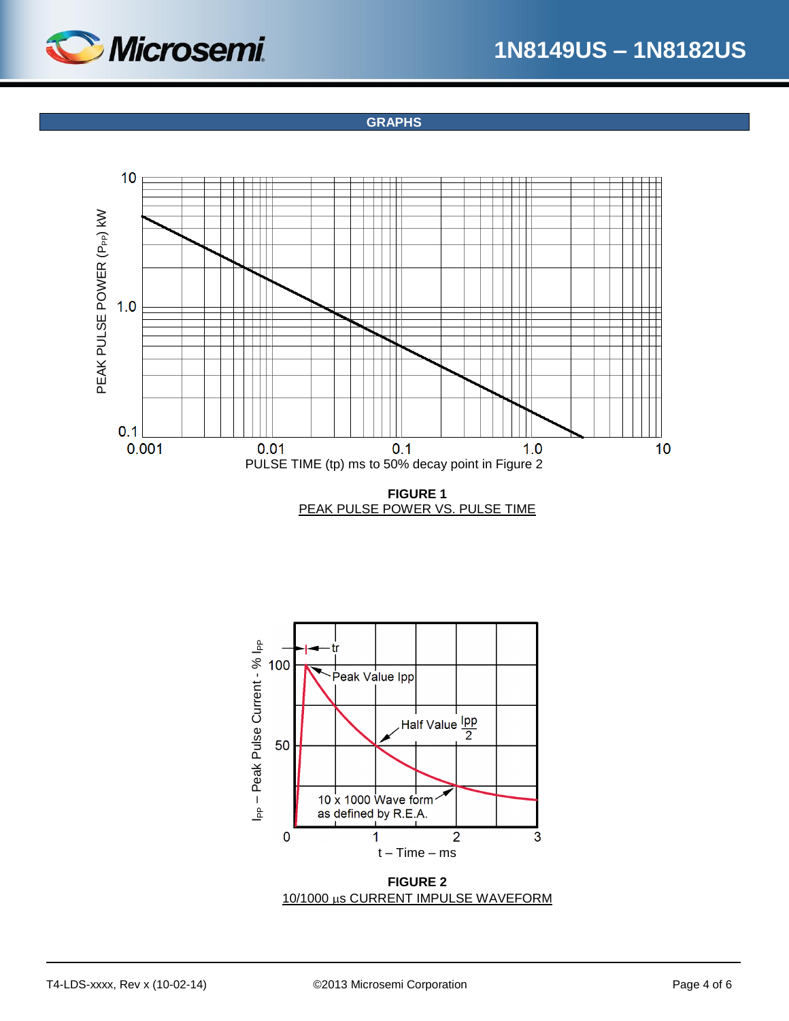

**GRAPHS**







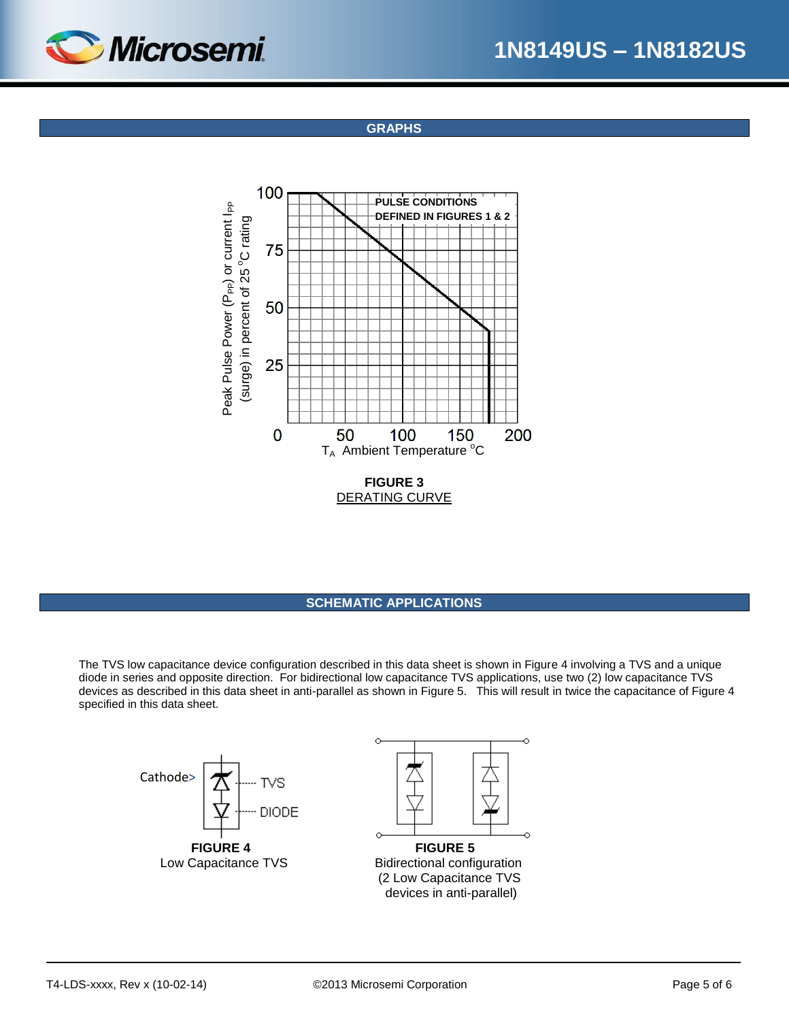

**GRAPHS**



#### **SCHEMATIC APPLICATIONS**

The TVS low capacitance device configuration described in this data sheet is shown in Figure 4 involving a TVS and a unique diode in series and opposite direction. For bidirectional low capacitance TVS applications, use two (2) low capacitance TVS devices as described in this data sheet in anti-parallel as shown in Figure 5. This will result in twice the capacitance of Figure 4 specified in this data sheet.

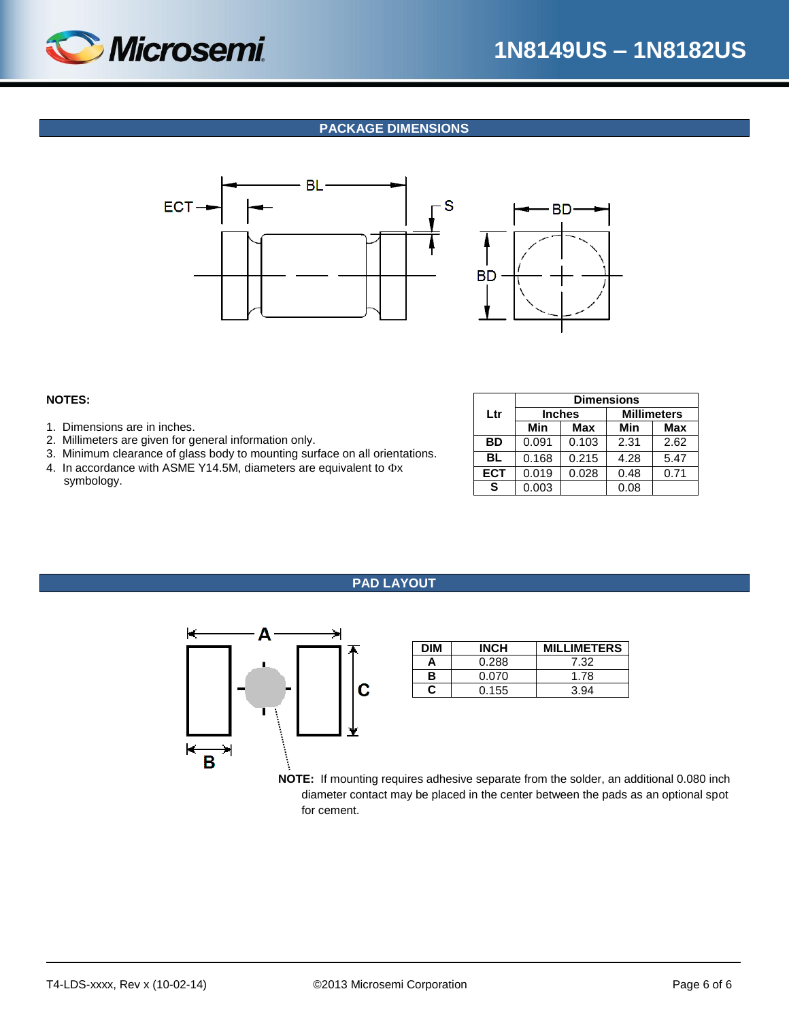

## **PACKAGE DIMENSIONS**





#### **NOTES:**

- 1. Dimensions are in inches.
- 2. Millimeters are given for general information only.
- 3. Minimum clearance of glass body to mounting surface on all orientations.
- 4. In accordance with ASME Y14.5M, diameters are equivalent to  $\Phi$ x symbology.

|            | <b>Dimensions</b> |               |                    |      |  |  |  |  |
|------------|-------------------|---------------|--------------------|------|--|--|--|--|
| Ltr        |                   | <b>Inches</b> | <b>Millimeters</b> |      |  |  |  |  |
|            | Min               | Max           | Min                | Max  |  |  |  |  |
| <b>BD</b>  | 0.091             | 0.103         | 2.31               | 2.62 |  |  |  |  |
| BL         | 0.168             | 0.215         | 4.28               | 5.47 |  |  |  |  |
| <b>ECT</b> | 0.019             | 0.028         | 0.48               | 0.71 |  |  |  |  |
| S          | 0.003             |               | 0.08               |      |  |  |  |  |

### **PAD LAYOUT**



| <b>DIM</b> | <b>INCH</b> | <b>MILLIMETERS</b> |
|------------|-------------|--------------------|
| Α          | 0.288       | 7.32               |
| в          | 0.070       | 1.78               |
| r          | 0.155       | 3.94               |

**NOTE:** If mounting requires adhesive separate from the solder, an additional 0.080 inch diameter contact may be placed in the center between the pads as an optional spot for cement.